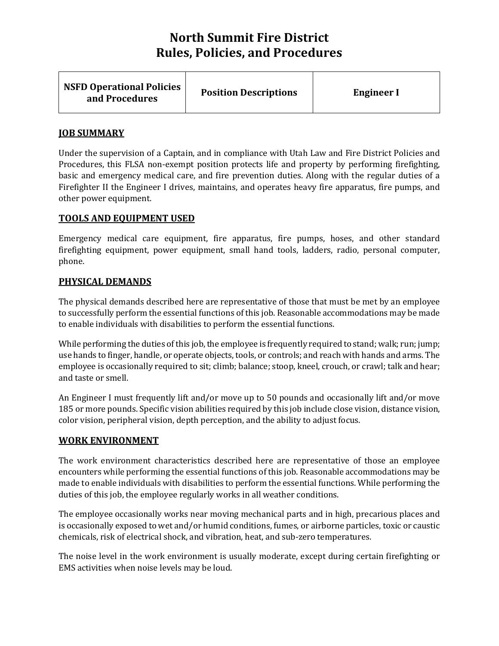| <b>NSFD Operational Policies</b><br>and Procedures | <b>Position Descriptions</b> | <b>Engineer I</b> |
|----------------------------------------------------|------------------------------|-------------------|
|----------------------------------------------------|------------------------------|-------------------|

# **JOB SUMMARY**

Under the supervision of a Captain, and in compliance with Utah Law and Fire District Policies and Procedures, this FLSA non-exempt position protects life and property by performing firefighting, basic and emergency medical care, and fire prevention duties. Along with the regular duties of a Firefighter II the Engineer I drives, maintains, and operates heavy fire apparatus, fire pumps, and other power equipment.

# **TOOLS AND EQUIPMENT USED**

Emergency medical care equipment, fire apparatus, fire pumps, hoses, and other standard firefighting equipment, power equipment, small hand tools, ladders, radio, personal computer, phone.

# **PHYSICAL DEMANDS**

The physical demands described here are representative of those that must be met by an employee to successfully perform the essential functions of this job. Reasonable accommodations may be made to enable individuals with disabilities to perform the essential functions.

While performing the duties of this job, the employee is frequently required to stand; walk; run; jump; use hands to finger, handle, or operate objects, tools, or controls; and reach with hands and arms. The employee is occasionally required to sit; climb; balance; stoop, kneel, crouch, or crawl; talk and hear; and taste or smell.

An Engineer I must frequently lift and/or move up to 50 pounds and occasionally lift and/or move 185 or more pounds. Specific vision abilities required by this job include close vision, distance vision, color vision, peripheral vision, depth perception, and the ability to adjust focus.

### **WORK ENVIRONMENT**

The work environment characteristics described here are representative of those an employee encounters while performing the essential functions of this job. Reasonable accommodations may be made to enable individuals with disabilities to perform the essential functions. While performing the duties of this job, the employee regularly works in all weather conditions.

The employee occasionally works near moving mechanical parts and in high, precarious places and is occasionally exposed to wet and/or humid conditions, fumes, or airborne particles, toxic or caustic chemicals, risk of electrical shock, and vibration, heat, and sub-zero temperatures.

The noise level in the work environment is usually moderate, except during certain firefighting or EMS activities when noise levels may be loud.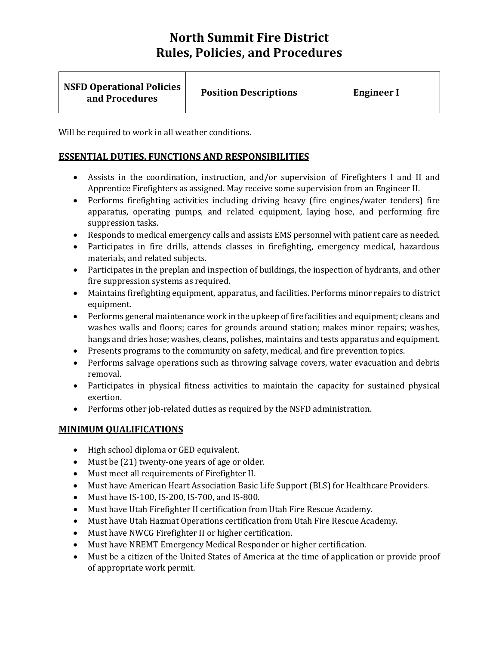| <b>NSFD Operational Policies</b><br><b>Position Descriptions</b><br><b>Engineer I</b><br>and Procedures |  |
|---------------------------------------------------------------------------------------------------------|--|
|---------------------------------------------------------------------------------------------------------|--|

Will be required to work in all weather conditions.

# **ESSENTIAL DUTIES, FUNCTIONS AND RESPONSIBILITIES**

- Assists in the coordination, instruction, and/or supervision of Firefighters I and II and Apprentice Firefighters as assigned. May receive some supervision from an Engineer II.
- Performs firefighting activities including driving heavy (fire engines/water tenders) fire apparatus, operating pumps, and related equipment, laying hose, and performing fire suppression tasks.
- Responds to medical emergency calls and assists EMS personnel with patient care as needed.
- Participates in fire drills, attends classes in firefighting, emergency medical, hazardous materials, and related subjects.
- Participates in the preplan and inspection of buildings, the inspection of hydrants, and other fire suppression systems as required.
- Maintains firefighting equipment, apparatus, and facilities. Performs minor repairs to district equipment.
- Performs general maintenance work in the upkeep of fire facilities and equipment; cleans and washes walls and floors; cares for grounds around station; makes minor repairs; washes, hangs and dries hose; washes, cleans, polishes, maintains and tests apparatus and equipment.
- Presents programs to the community on safety, medical, and fire prevention topics.
- Performs salvage operations such as throwing salvage covers, water evacuation and debris removal.
- Participates in physical fitness activities to maintain the capacity for sustained physical exertion.
- Performs other job-related duties as required by the NSFD administration.

### **MINIMUM QUALIFICATIONS**

- High school diploma or GED equivalent.
- Must be (21) twenty-one years of age or older.
- Must meet all requirements of Firefighter II.
- Must have American Heart Association Basic Life Support (BLS) for Healthcare Providers.
- Must have IS-100, IS-200, IS-700, and IS-800.
- Must have Utah Firefighter II certification from Utah Fire Rescue Academy.
- Must have Utah Hazmat Operations certification from Utah Fire Rescue Academy.
- Must have NWCG Firefighter II or higher certification.
- Must have NREMT Emergency Medical Responder or higher certification.
- Must be a citizen of the United States of America at the time of application or provide proof of appropriate work permit.